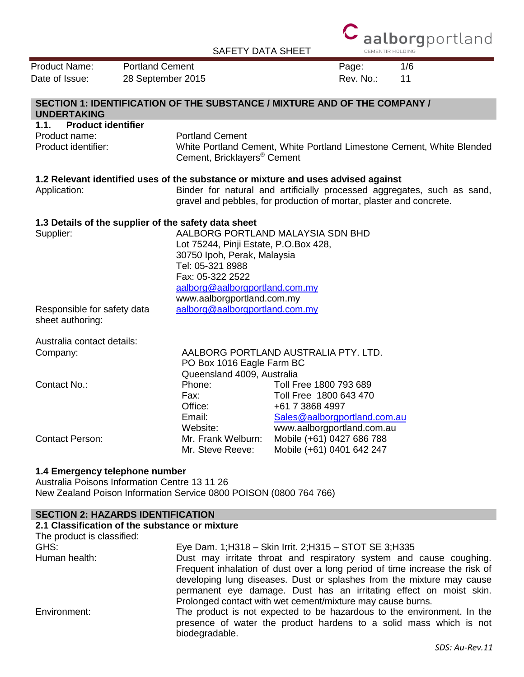SAFETY DATA SHEET



| <b>Product Name:</b>                 | <b>Portland Cement</b>                                                            | Page:                                                                                                                                          | 1/6 |
|--------------------------------------|-----------------------------------------------------------------------------------|------------------------------------------------------------------------------------------------------------------------------------------------|-----|
| Date of Issue:                       | 28 September 2015                                                                 | Rev. No.:                                                                                                                                      | 11  |
|                                      | SECTION 1: IDENTIFICATION OF THE SUBSTANCE / MIXTURE AND OF THE COMPANY /         |                                                                                                                                                |     |
| <b>UNDERTAKING</b>                   |                                                                                   |                                                                                                                                                |     |
| <b>Product identifier</b><br>1.1.    |                                                                                   |                                                                                                                                                |     |
| Product name:<br>Product identifier: | <b>Portland Cement</b><br>Cement, Bricklayers® Cement                             | White Portland Cement, White Portland Limestone Cement, White Blended                                                                          |     |
|                                      | 1.2 Relevant identified uses of the substance or mixture and uses advised against |                                                                                                                                                |     |
| Application:                         |                                                                                   | Binder for natural and artificially processed aggregates, such as sand,<br>gravel and pebbles, for production of mortar, plaster and concrete. |     |
|                                      | 1.3 Details of the supplier of the safety data sheet                              |                                                                                                                                                |     |
| Supplier:                            |                                                                                   | AALBORG PORTLAND MALAYSIA SDN BHD                                                                                                              |     |
|                                      | Lot 75244, Pinji Estate, P.O.Box 428,                                             |                                                                                                                                                |     |
|                                      | 30750 Ipoh, Perak, Malaysia                                                       |                                                                                                                                                |     |
|                                      | Tel: 05-321 8988<br>Fax: 05-322 2522                                              |                                                                                                                                                |     |
|                                      | aalborg@aalborgportland.com.my                                                    |                                                                                                                                                |     |
|                                      | www.aalborgportland.com.my                                                        |                                                                                                                                                |     |
| Responsible for safety data          | aalborg@aalborgportland.com.my                                                    |                                                                                                                                                |     |
| sheet authoring:                     |                                                                                   |                                                                                                                                                |     |
| Australia contact details:           |                                                                                   |                                                                                                                                                |     |
| Company:                             |                                                                                   | AALBORG PORTLAND AUSTRALIA PTY. LTD.                                                                                                           |     |
|                                      | PO Box 1016 Eagle Farm BC                                                         |                                                                                                                                                |     |
|                                      | Queensland 4009, Australia                                                        |                                                                                                                                                |     |
| Contact No.:                         | Phone:                                                                            | Toll Free 1800 793 689                                                                                                                         |     |
|                                      | Fax:                                                                              | Toll Free 1800 643 470                                                                                                                         |     |
|                                      | Office:<br>Email:                                                                 | +61 7 3868 4997                                                                                                                                |     |
|                                      | Website:                                                                          | Sales@aalborgportland.com.au<br>www.aalborgportland.com.au                                                                                     |     |
| <b>Contact Person:</b>               | Mr. Frank Welburn:                                                                | Mobile (+61) 0427 686 788                                                                                                                      |     |
|                                      | Mr. Steve Reeve:                                                                  | Mobile (+61) 0401 642 247                                                                                                                      |     |
| 1.4 Emergency telephone number       |                                                                                   |                                                                                                                                                |     |
|                                      | Australia Poisons Information Centre 13 11 26                                     |                                                                                                                                                |     |

New Zealand Poison Information Service 0800 POISON (0800 764 766)

### **SECTION 2: HAZARDS IDENTIFICATION**

#### **2.1 Classification of the substance or mixture**

| The product is classified: |                                                                                                                                                                                                                             |
|----------------------------|-----------------------------------------------------------------------------------------------------------------------------------------------------------------------------------------------------------------------------|
| GHS:                       | Eye Dam. 1; H318 - Skin Irrit. 2; H315 - STOT SE 3; H335                                                                                                                                                                    |
| Human health:              | Dust may irritate throat and respiratory system and cause coughing.<br>Frequent inhalation of dust over a long period of time increase the risk of<br>developing lung diseases. Dust or splashes from the mixture may cause |
|                            | permanent eye damage. Dust has an irritating effect on moist skin.<br>Prolonged contact with wet cement/mixture may cause burns.                                                                                            |
| Environment:               | The product is not expected to be hazardous to the environment. In the<br>presence of water the product hardens to a solid mass which is not<br>biodegradable.                                                              |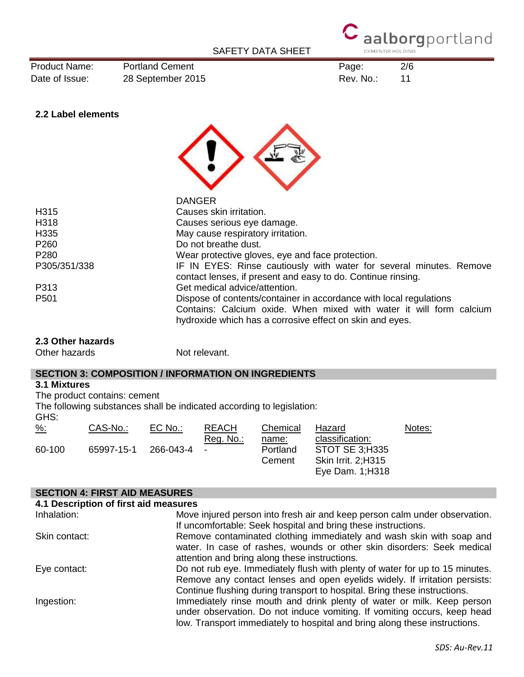

Product Name: Portland Cement Page: 2/6 Date of Issue: 28 September 2015 and the contract of Issue: 11

# **2.2 Label elements**



| <b>DANGER</b>                                                                                                                                                                                         |
|-------------------------------------------------------------------------------------------------------------------------------------------------------------------------------------------------------|
| Causes skin irritation.                                                                                                                                                                               |
| Causes serious eye damage.                                                                                                                                                                            |
| May cause respiratory irritation.                                                                                                                                                                     |
| Do not breathe dust.                                                                                                                                                                                  |
| Wear protective gloves, eye and face protection.                                                                                                                                                      |
| IF IN EYES: Rinse cautiously with water for several minutes. Remove<br>contact lenses, if present and easy to do. Continue rinsing.                                                                   |
| Get medical advice/attention.                                                                                                                                                                         |
| Dispose of contents/container in accordance with local regulations<br>Contains: Calcium oxide. When mixed with water it will form calcium<br>hydroxide which has a corrosive effect on skin and eyes. |
|                                                                                                                                                                                                       |

#### **2.3 Other hazards**

Other hazards Not relevant.

#### **SECTION 3: COMPOSITION / INFORMATION ON INGREDIENTS**

#### **3.1 Mixtures**

The product contains: cement

The following substances shall be indicated according to legislation:

| $\frac{9}{6}$ : | CAS-No.:   | EC No.:   | <b>REACH</b> | Chemical | Hazard                    | Notes: |
|-----------------|------------|-----------|--------------|----------|---------------------------|--------|
|                 |            |           | Reg. No.:    | name:    | classification:           |        |
| 60-100          | 65997-15-1 | 266-043-4 |              | Portland | <b>STOT SE 3:H335</b>     |        |
|                 |            |           |              | Cement   | <b>Skin Irrit. 2:H315</b> |        |
|                 |            |           |              |          | Eye Dam. 1;H318           |        |

#### **SECTION 4: FIRST AID MEASURES**

| 4.1 Description of first aid measures |                                                                                                                                                                                                                                         |
|---------------------------------------|-----------------------------------------------------------------------------------------------------------------------------------------------------------------------------------------------------------------------------------------|
| Inhalation:                           | Move injured person into fresh air and keep person calm under observation.<br>If uncomfortable: Seek hospital and bring these instructions.                                                                                             |
| Skin contact:                         | Remove contaminated clothing immediately and wash skin with soap and<br>water. In case of rashes, wounds or other skin disorders: Seek medical<br>attention and bring along these instructions.                                         |
| Eye contact:                          | Do not rub eye. Immediately flush with plenty of water for up to 15 minutes.<br>Remove any contact lenses and open eyelids widely. If irritation persists:<br>Continue flushing during transport to hospital. Bring these instructions. |
| Ingestion:                            | Immediately rinse mouth and drink plenty of water or milk. Keep person<br>under observation. Do not induce vomiting. If vomiting occurs, keep head<br>low. Transport immediately to hospital and bring along these instructions.        |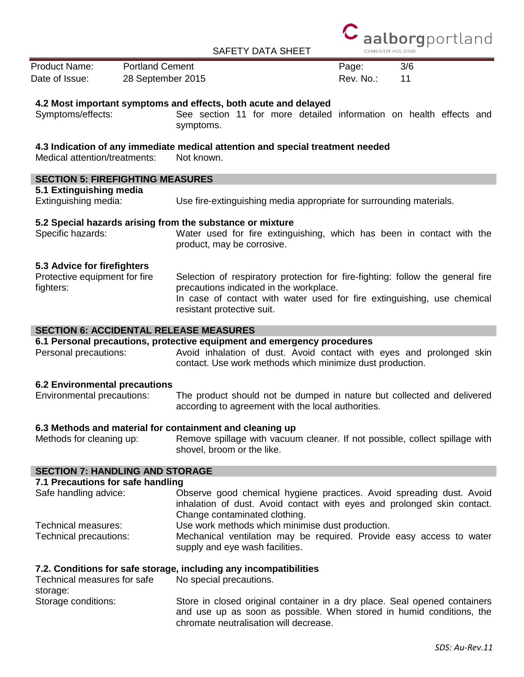

| <b>Product Name:</b>                                                                                        | <b>Portland Cement</b> |                                                                                                                                                                                                                                                                                                                                                 | Page:     | 3/6 |
|-------------------------------------------------------------------------------------------------------------|------------------------|-------------------------------------------------------------------------------------------------------------------------------------------------------------------------------------------------------------------------------------------------------------------------------------------------------------------------------------------------|-----------|-----|
| Date of Issue:<br>28 September 2015                                                                         |                        |                                                                                                                                                                                                                                                                                                                                                 | Rev. No.: | 11  |
|                                                                                                             |                        |                                                                                                                                                                                                                                                                                                                                                 |           |     |
| Symptoms/effects:                                                                                           |                        | 4.2 Most important symptoms and effects, both acute and delayed<br>See section 11 for more detailed information on health effects and<br>symptoms.                                                                                                                                                                                              |           |     |
| Medical attention/treatments:                                                                               |                        | 4.3 Indication of any immediate medical attention and special treatment needed<br>Not known.                                                                                                                                                                                                                                                    |           |     |
| <b>SECTION 5: FIREFIGHTING MEASURES</b>                                                                     |                        |                                                                                                                                                                                                                                                                                                                                                 |           |     |
| 5.1 Extinguishing media<br>Extinguishing media:                                                             |                        | Use fire-extinguishing media appropriate for surrounding materials.                                                                                                                                                                                                                                                                             |           |     |
| Specific hazards:                                                                                           |                        | 5.2 Special hazards arising from the substance or mixture<br>Water used for fire extinguishing, which has been in contact with the<br>product, may be corrosive.                                                                                                                                                                                |           |     |
| 5.3 Advice for firefighters<br>Protective equipment for fire<br>fighters:                                   |                        | Selection of respiratory protection for fire-fighting: follow the general fire<br>precautions indicated in the workplace.<br>In case of contact with water used for fire extinguishing, use chemical<br>resistant protective suit.                                                                                                              |           |     |
|                                                                                                             |                        | <b>SECTION 6: ACCIDENTAL RELEASE MEASURES</b>                                                                                                                                                                                                                                                                                                   |           |     |
| Personal precautions:                                                                                       |                        | 6.1 Personal precautions, protective equipment and emergency procedures<br>Avoid inhalation of dust. Avoid contact with eyes and prolonged skin<br>contact. Use work methods which minimize dust production.                                                                                                                                    |           |     |
| <b>6.2 Environmental precautions</b><br>Environmental precautions:                                          |                        | The product should not be dumped in nature but collected and delivered<br>according to agreement with the local authorities.                                                                                                                                                                                                                    |           |     |
| Methods for cleaning up:                                                                                    |                        | 6.3 Methods and material for containment and cleaning up<br>Remove spillage with vacuum cleaner. If not possible, collect spillage with<br>shovel, broom or the like.                                                                                                                                                                           |           |     |
| <b>SECTION 7: HANDLING AND STORAGE</b>                                                                      |                        |                                                                                                                                                                                                                                                                                                                                                 |           |     |
| 7.1 Precautions for safe handling<br>Safe handling advice:<br>Technical measures:<br>Technical precautions: |                        | Observe good chemical hygiene practices. Avoid spreading dust. Avoid<br>inhalation of dust. Avoid contact with eyes and prolonged skin contact.<br>Change contaminated clothing.<br>Use work methods which minimise dust production.<br>Mechanical ventilation may be required. Provide easy access to water<br>supply and eye wash facilities. |           |     |
| Technical measures for safe<br>storage:                                                                     |                        | 7.2. Conditions for safe storage, including any incompatibilities<br>No special precautions.                                                                                                                                                                                                                                                    |           |     |
| Storage conditions:                                                                                         |                        | Store in closed original container in a dry place. Seal opened containers<br>and use up as soon as possible. When stored in humid conditions, the                                                                                                                                                                                               |           |     |

chromate neutralisation will decrease.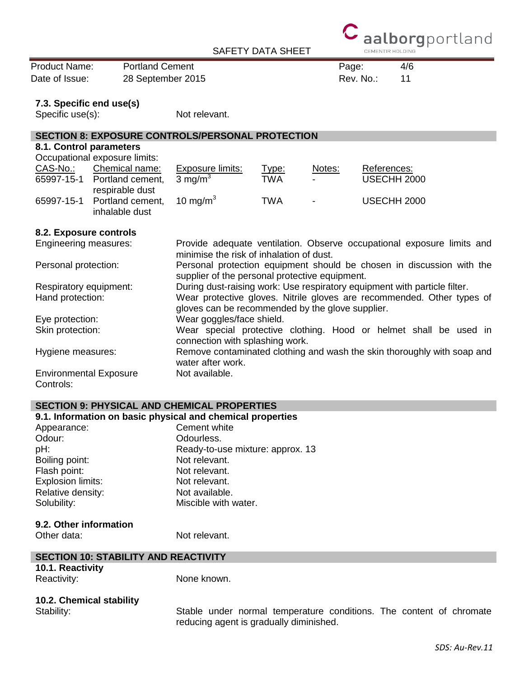

Product Name: Portland Cement Product Name: 4/6 Date of Issue: 28 September 2015 and the contract of Issue: 11

#### **7.3. Specific end use(s)**

Specific use(s): Not relevant.

# **SECTION 8: EXPOSURE CONTROLS/PERSONAL PROTECTION**

#### **8.1. Control parameters** Occupational exposure limits:

|          | Occupational exposure limits:                  |                     |       |                |                    |
|----------|------------------------------------------------|---------------------|-------|----------------|--------------------|
| CAS-No.: | Chemical name:                                 | Exposure limits:    | Type: | Notes:         | References:        |
|          | 65997-15-1 Portland cement,<br>respirable dust | 3 ma/m <sup>3</sup> | TWA   | $\sim$         | <b>USECHH 2000</b> |
|          | 65997-15-1 Portland cement,<br>inhalable dust  | 10 mg/m $3$         | TWA   | $\blacksquare$ | <b>USECHH 2000</b> |

#### **8.2. Exposure controls**

| Engineering measures:                      | Provide adequate ventilation. Observe occupational exposure limits and<br>minimise the risk of inhalation of dust.         |
|--------------------------------------------|----------------------------------------------------------------------------------------------------------------------------|
| Personal protection:                       | Personal protection equipment should be chosen in discussion with the<br>supplier of the personal protective equipment.    |
| Respiratory equipment:                     | During dust-raising work: Use respiratory equipment with particle filter.                                                  |
| Hand protection:                           | Wear protective gloves. Nitrile gloves are recommended. Other types of<br>gloves can be recommended by the glove supplier. |
| Eye protection:                            | Wear goggles/face shield.                                                                                                  |
| Skin protection:                           | Wear special protective clothing. Hood or helmet shall be used in<br>connection with splashing work.                       |
| Hygiene measures:                          | Remove contaminated clothing and wash the skin thoroughly with soap and<br>water after work.                               |
| <b>Environmental Exposure</b><br>Controls: | Not available.                                                                                                             |

### **SECTION 9: PHYSICAL AND CHEMICAL PROPERTIES**

| 9.1. Information on basic physical and chemical properties |                                  |
|------------------------------------------------------------|----------------------------------|
| Appearance:                                                | Cement white                     |
| Odour:                                                     | Odourless.                       |
| pH:                                                        | Ready-to-use mixture: approx. 13 |
| Boiling point:                                             | Not relevant.                    |
| Flash point:                                               | Not relevant.                    |
| Explosion limits:                                          | Not relevant.                    |
| Relative density:                                          | Not available.                   |
| Solubility:                                                | Miscible with water.             |
| 9.2. Other information                                     |                                  |
| Other data:                                                | Not relevant.                    |
| <b>SECTION 10: STABILITY AND REACTIVITY</b>                |                                  |
| 101 Reactivity                                             |                                  |
|                                                            |                                  |

| 10.1. Reactivity |  |
|------------------|--|
| Reactivity:      |  |

None known.

# **10.2. Chemical stability**

Stability: Stable under normal temperature conditions. The content of chromate reducing agent is gradually diminished.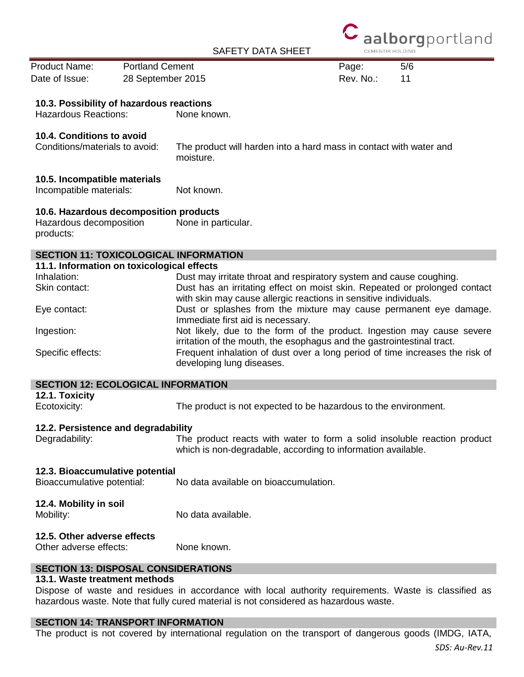

Product Name: Portland Cement Product Name: 5/6 Date of Issue: 28 September 2015 **Rev. No.:** 11

#### **10.3. Possibility of hazardous reactions**

Hazardous Reactions: None known.

#### **10.4. Conditions to avoid**

Conditions/materials to avoid: The product will harden into a hard mass in contact with water and moisture.

#### **10.5. Incompatible materials**

Incompatible materials: Not known.

#### **10.6. Hazardous decomposition products**

Hazardous decomposition products: None in particular.

# **SECTION 11: TOXICOLOGICAL INFORMATION**

| 11.1. Information on toxicological effects |                                                                                                                                                  |
|--------------------------------------------|--------------------------------------------------------------------------------------------------------------------------------------------------|
| Inhalation:                                | Dust may irritate throat and respiratory system and cause coughing.                                                                              |
| Skin contact:                              | Dust has an irritating effect on moist skin. Repeated or prolonged contact<br>with skin may cause allergic reactions in sensitive individuals.   |
| Eye contact:                               | Dust or splashes from the mixture may cause permanent eye damage.<br>Immediate first aid is necessary.                                           |
| Ingestion:                                 | Not likely, due to the form of the product. Ingestion may cause severe<br>irritation of the mouth, the esophagus and the gastrointestinal tract. |
| Specific effects:                          | Frequent inhalation of dust over a long period of time increases the risk of<br>developing lung diseases.                                        |

#### **SECTION 12: ECOLOGICAL INFORMATION**

| 12.1. Toxicity<br>Ecotoxicity:                        | The product is not expected to be hazardous to the environment.          |
|-------------------------------------------------------|--------------------------------------------------------------------------|
| 12.2. Persistence and degradability<br>Degradability: | The product reacts with water to form a solid insoluble reaction product |
|                                                       | which is non-degradable, according to information available.             |
| 12.3. Bioaccumulative potential                       |                                                                          |
| Bioaccumulative potential:                            | No data available on bioaccumulation.                                    |
| 12.4. Mobility in soil                                |                                                                          |
| Mobility:                                             | No data available.                                                       |
| 12.5. Other adverse effects                           |                                                                          |

# Other adverse effects: None known.

### **SECTION 13: DISPOSAL CONSIDERATIONS**

#### **13.1. Waste treatment methods**

Dispose of waste and residues in accordance with local authority requirements. Waste is classified as hazardous waste. Note that fully cured material is not considered as hazardous waste.

### **SECTION 14: TRANSPORT INFORMATION**

The product is not covered by international regulation on the transport of dangerous goods (IMDG, IATA,